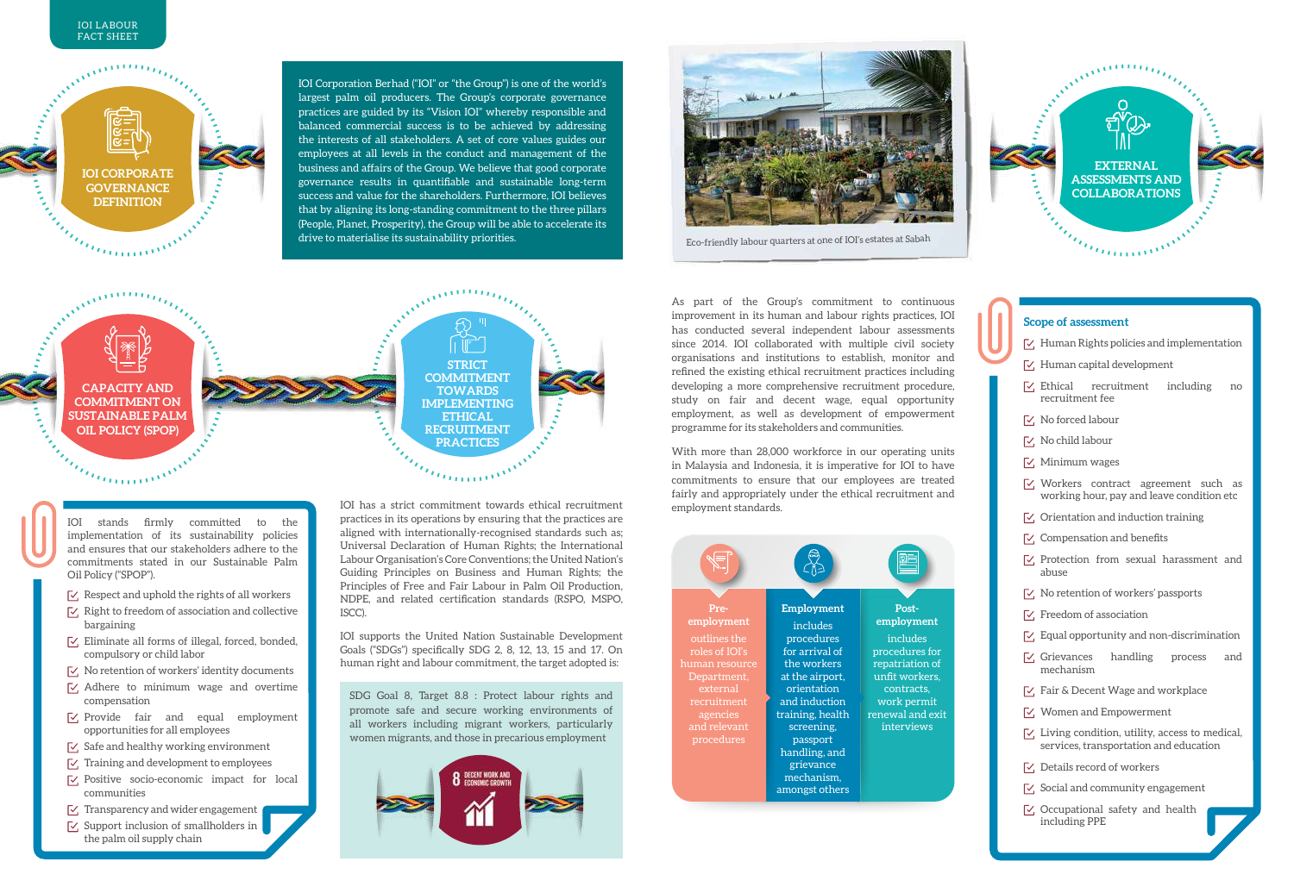

IOI Corporation Berhad ("IOI" or "the Group") is one of the world's largest palm oil producers. The Group's corporate governance practices are guided by its "Vision IOI" whereby responsible and balanced commercial success is to be achieved by addressing the interests of all stakeholders. A set of core values guides our employees at all levels in the conduct and management of the business and affairs of the Group. We believe that good corporate governance results in quantifiable and sustainable long-term success and value for the shareholders. Furthermore, IOI believes that by aligning its long-standing commitment to the three pillars (People, Planet, Prosperity), the Group will be able to accelerate its drive to materialise its sustainability priorities.



Eco-friendly labour quarters at one of IOI's estates at Sabah



## **Scope of assessment**

- $\nabla$ . Human Rights policies and implementation
- $\sqrt{\phantom{a}}$ . Human capital development
- $\sqrt{\phantom{a}}$  Ethical recruitment including no recruitment fee
- No forced labour
- $\nabla$ . No child labour
- $\nabla$ , Minimum wages
- $\nabla$ , Workers contract agreement such as working hour, pay and leave condition etc
- $\triangledown$ , Orientation and induction training
- $\sqrt{\phantom{a}}$  Compensation and benefits
- $\nabla$  Protection from sexual harassment and abuse
- $\triangledown$ , No retention of workers' passports
- $\sqrt{\phantom{a}}$ . Freedom of association
- $\sqrt{\phantom{a}}$  Equal opportunity and non-discrimination
- $\nabla$ , Grievances handling process and mechanism
- $\sqrt{\phantom{a}}$  Fair & Decent Wage and workplace
- $\mathcal{V}$ , Women and Empowerment
- $\vee$  Living condition, utility, access to medical, services, transportation and education
- $\nabla$ , Details record of workers
- $\sqrt{\phantom{a}}$  Social and community engagement
- $\nabla$ , Occupational safety and health including PPE

Accepter of the Company **AMERICA Strict commitment Capacity and towards implementing ethical recruitment practices**

IOI stands firmly committed to the implementation of its sustainability policies and ensures that our stakeholders adhere to the commitments stated in our Sustainable Palm Oil Policy ("SPOP").

- $\triangledown$ , Respect and uphold the rights of all workers
- $\sqrt{\phantom{a}}$  Right to freedom of association and collective bargaining
- $\sqrt{2}$ . Eliminate all forms of illegal, forced, bonded, compulsory or child labor
- $\nabla$ . No retention of workers' identity documents
- $\sqrt{\phantom{a}}$  Adhere to minimum wage and overtime compensation
- $\nabla$ , Provide fair and equal employment opportunities for all employees
- $\sqrt{2}$  Safe and healthy working environment
- $\sqrt{\phantom{a}}$  Training and development to employees
- $\nabla$  Positive socio-economic impact for local communities
- $\sqrt{2}$  Transparency and wider engagement
- $\boxed{\sim}$  Support inclusion of smallholders in the palm oil supply chain

practices in its operations by ensuring that the practices are aligned with internationally-recognised standards such as; Universal Declaration of Human Rights; the International Labour Organisation's Core Conventions; the United Nation's Guiding Principles on Business and Human Rights; the Principles of Free and Fair Labour in Palm Oil Production, NDPE, and related certification standards (RSPO, MSPO, ISCC).

IOI supports the United Nation Sustainable Development Goals ("SDGs") specifically SDG 2, 8, 12, 13, 15 and 17. On human right and labour commitment, the target adopted is:

SDG Goal 8, Target 8.8 : Protect labour rights and promote safe and secure working environments of all workers including migrant workers, particularly women migrants, and those in precarious employment



As part of the Group's commitment to continuous improvement in its human and labour rights practices, IOI has conducted several independent labour assessments since 2014. IOI collaborated with multiple civil society organisations and institutions to establish, monitor and refined the existing ethical recruitment practices including developing a more comprehensive recruitment procedure, study on fair and decent wage, equal opportunity employment, as well as development of empowerment programme for its stakeholders and communities.

With more than 28,000 workforce in our operating units in Malaysia and Indonesia, it is imperative for IOI to have commitments to ensure that our employees are treated fairly and appropriately under the ethical recruitment and employment standards.

| Pre-           | Employment                                                 | Post-            |
|----------------|------------------------------------------------------------|------------------|
| employment     | includes                                                   | employment       |
| outlines the   | procedures                                                 | includes         |
| roles of IOI's | for arrival of                                             | procedures for   |
| uman resource  | the workers                                                | repatriation of  |
| Department,    | at the airport,                                            | unfit workers,   |
| external       | orientation                                                | contracts,       |
| recruitment    | and induction                                              | work permit      |
| agencies       | training, health                                           | renewal and exit |
| and relevant   | screening,                                                 | interviews       |
| procedures     | passport                                                   |                  |
|                | handling, and<br>grievance<br>mechanism,<br>amongst others |                  |

| <b>SALES</b> | Щ<br><b>STRICT</b><br><b>COMMITMENT</b><br><b>TOWARDS</b><br><b>IMPLEMENTING</b><br><b>ETHICAL</b><br><b>RECRUITMENT</b><br><b>PRACTICES</b> |  |
|--------------|----------------------------------------------------------------------------------------------------------------------------------------------|--|
|              |                                                                                                                                              |  |
|              | IOI has a strict commitment towards ethical recruitment                                                                                      |  |

## **commitment on Sustainable Palm Oil Policy (SPOP)**

## *<u>Francisco</u>*